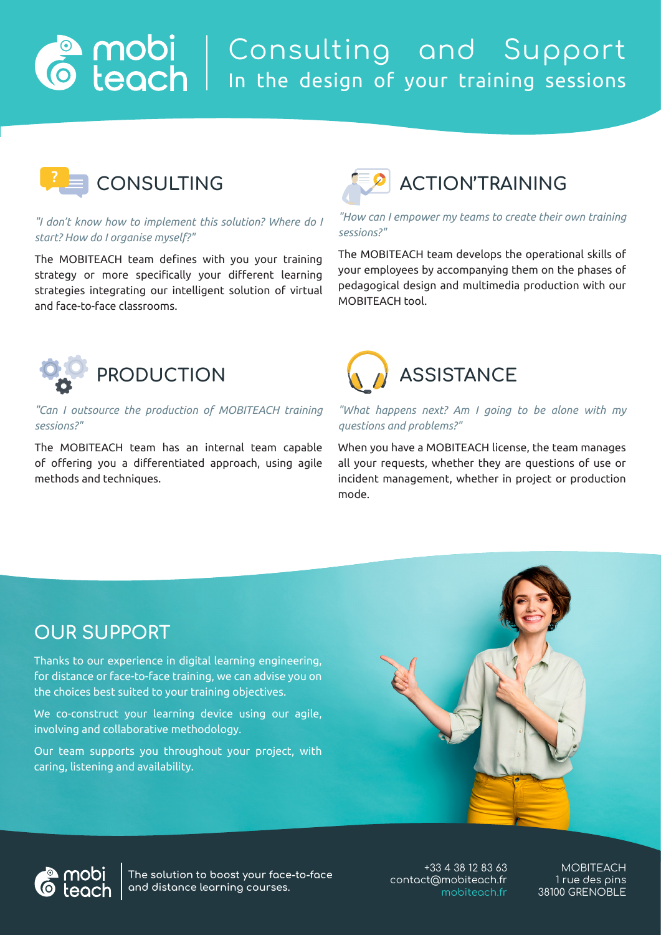## Consulting and Support In the design of your training sessions



#### *"I don't know how to implement this solution? Where do I start? How do I organise myself?"*

The MOBITEACH team defines with you your training strategy or more specifically your different learning strategies integrating our intelligent solution of virtual and face-to-face classrooms.



#### *"How can I empower my teams to create their own training sessions?"*

The MOBITEACH team develops the operational skills of your employees by accompanying them on the phases of pedagogical design and multimedia production with our MOBITEACH tool.



### *"Can I outsource the production of MOBITEACH training sessions?"*

The MOBITEACH team has an internal team capable of offering you a differentiated approach, using agile methods and techniques.



#### *"What happens next? Am I going to be alone with my questions and problems?"*

When you have a MOBITEACH license, the team manages all your requests, whether they are questions of use or incident management, whether in project or production mode.

### **OUR SUPPORT**

Thanks to our experience in digital learning engineering, for distance or face-to-face training, we can advise you on the choices best suited to your training objectives.

We co-construct your learning device using our agile, involving and collaborative methodology.

Our team supports you throughout your project, with caring, listening and availability.





**The solution to boost your face-to-face and distance learning courses.**

 +33 4 38 12 83 63 contact@mobiteach.fr mobiteach.fr

MOBITEACH 1 rue des pins 38100 GRENOBLE